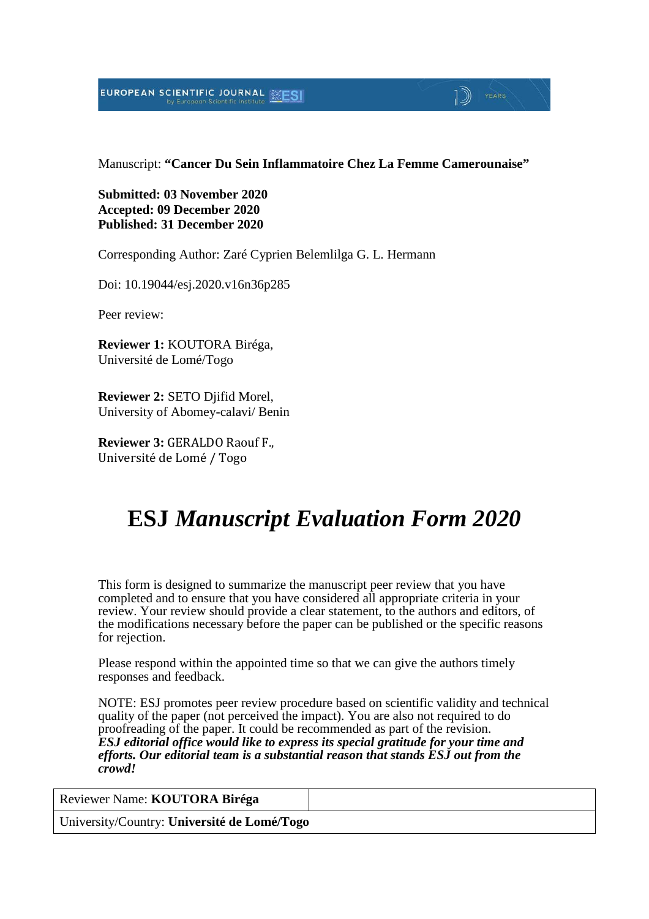EUROPEAN SCIENTIFIC JOURNAL

Manuscript: **"Cancer Du Sein Inflammatoire Chez La Femme Camerounaise"**

 $\mathbb{D}$  Years

**Submitted: 03 November 2020 Accepted: 09 December 2020 Published: 31 December 2020**

Corresponding Author: Zaré Cyprien Belemlilga G. L. Hermann

Doi: 10.19044/esj.2020.v16n36p285

Peer review:

**Reviewer 1:** KOUTORA Biréga, Université de Lomé/Togo

**Reviewer 2:** SETO Djifid Morel, University of Abomey-calavi/ Benin

**Reviewer 3:** GERALDO Raouf F., Université de Lomé / Togo

# **ESJ** *Manuscript Evaluation Form 2020*

This form is designed to summarize the manuscript peer review that you have completed and to ensure that you have considered all appropriate criteria in your review. Your review should provide a clear statement, to the authors and editors, of the modifications necessary before the paper can be published or the specific reasons for rejection.

Please respond within the appointed time so that we can give the authors timely responses and feedback.

NOTE: ESJ promotes peer review procedure based on scientific validity and technical quality of the paper (not perceived the impact). You are also not required to do proofreading of the paper. It could be recommended as part of the revision. *ESJ editorial office would like to express its special gratitude for your time and efforts. Our editorial team is a substantial reason that stands ESJ out from the crowd!* 

Reviewer Name: **KOUTORA Biréga**

University/Country: **Université de Lomé/Togo**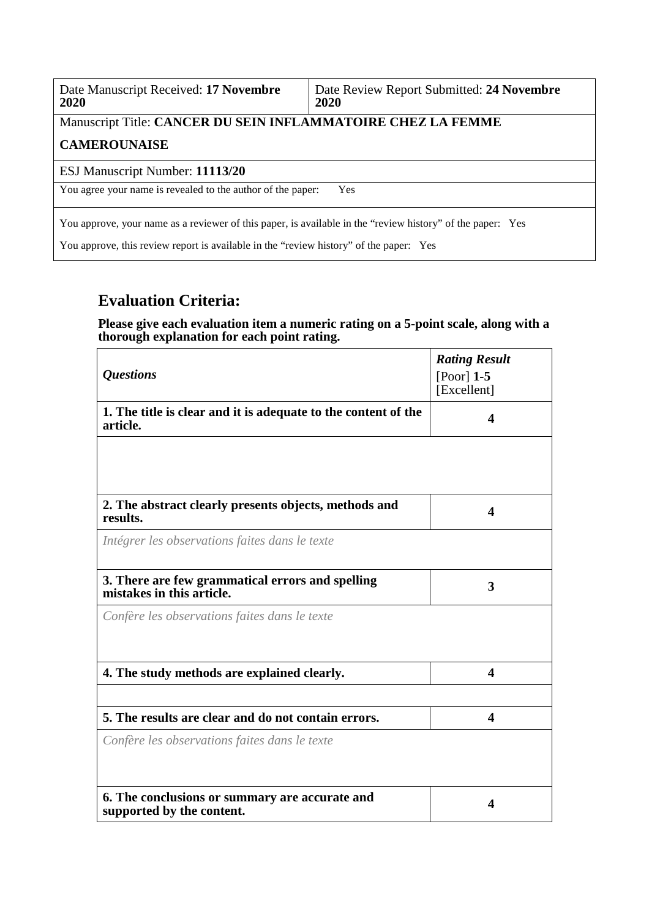| Date Manuscript Received: 17 Novembre | Date Review Report Submitted: 24 Novembre |
|---------------------------------------|-------------------------------------------|
| 2020                                  | 2020                                      |

# Manuscript Title: **CANCER DU SEIN INFLAMMATOIRE CHEZ LA FEMME**

#### **CAMEROUNAISE**

#### ESJ Manuscript Number: **11113/20**

You agree your name is revealed to the author of the paper: Yes

You approve, your name as a reviewer of this paper, is available in the "review history" of the paper: Yes

You approve, this review report is available in the "review history" of the paper: Yes

### **Evaluation Criteria:**

**Please give each evaluation item a numeric rating on a 5-point scale, along with a thorough explanation for each point rating.**

| <i><b>Questions</b></i>                                                       | <b>Rating Result</b><br>$[Poor]$ 1-5 |
|-------------------------------------------------------------------------------|--------------------------------------|
|                                                                               | [Excellent]                          |
| 1. The title is clear and it is adequate to the content of the<br>article.    | 4                                    |
|                                                                               |                                      |
| 2. The abstract clearly presents objects, methods and<br>results.             | 4                                    |
| Intégrer les observations faites dans le texte                                |                                      |
| 3. There are few grammatical errors and spelling<br>mistakes in this article. | 3                                    |
| Confère les observations faites dans le texte                                 |                                      |
| 4. The study methods are explained clearly.                                   | 4                                    |
| 5. The results are clear and do not contain errors.                           | $\overline{\mathbf{4}}$              |
| Confère les observations faites dans le texte                                 |                                      |
|                                                                               |                                      |
| 6. The conclusions or summary are accurate and<br>supported by the content.   | 4                                    |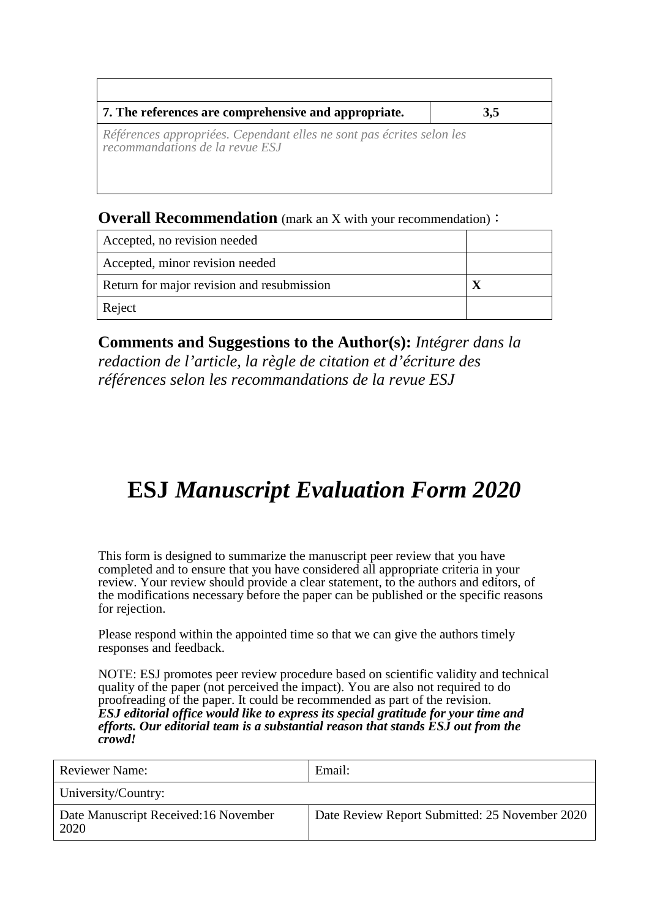| 7. The references are comprehensive and appropriate.                                                     | 3,5 |
|----------------------------------------------------------------------------------------------------------|-----|
| Références appropriées. Cependant elles ne sont pas écrites selon les<br>recommandations de la revue ESJ |     |

### **Overall Recommendation** (mark an X with your recommendation):

| Accepted, no revision needed               |  |
|--------------------------------------------|--|
| Accepted, minor revision needed            |  |
| Return for major revision and resubmission |  |
| Reject                                     |  |

**Comments and Suggestions to the Author(s):** *Intégrer dans la redaction de l'article, la règle de citation et d'écriture des références selon les recommandations de la revue ESJ*

# **ESJ** *Manuscript Evaluation Form 2020*

This form is designed to summarize the manuscript peer review that you have completed and to ensure that you have considered all appropriate criteria in your review. Your review should provide a clear statement, to the authors and editors, of the modifications necessary before the paper can be published or the specific reasons for rejection.

Please respond within the appointed time so that we can give the authors timely responses and feedback.

NOTE: ESJ promotes peer review procedure based on scientific validity and technical quality of the paper (not perceived the impact). You are also not required to do proofreading of the paper. It could be recommended as part of the revision. *ESJ editorial office would like to express its special gratitude for your time and efforts. Our editorial team is a substantial reason that stands ESJ out from the crowd!* 

| <b>Reviewer Name:</b>                        | Email:                                         |
|----------------------------------------------|------------------------------------------------|
| University/Country:                          |                                                |
| Date Manuscript Received:16 November<br>2020 | Date Review Report Submitted: 25 November 2020 |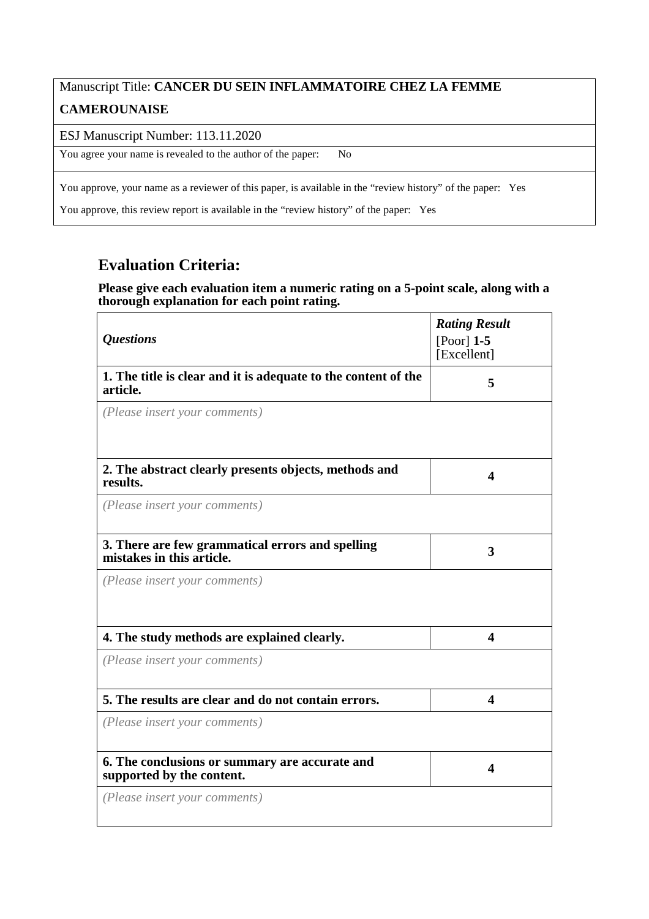# Manuscript Title: **CANCER DU SEIN INFLAMMATOIRE CHEZ LA FEMME CAMEROUNAISE**

ESJ Manuscript Number: 113.11.2020

You agree your name is revealed to the author of the paper: No

You approve, your name as a reviewer of this paper, is available in the "review history" of the paper: Yes

You approve, this review report is available in the "review history" of the paper: Yes

### **Evaluation Criteria:**

#### **Please give each evaluation item a numeric rating on a 5-point scale, along with a thorough explanation for each point rating.**

|                                                                               | <b>Rating Result</b>    |
|-------------------------------------------------------------------------------|-------------------------|
| <i><b>Questions</b></i>                                                       | [Poor] $1-5$            |
|                                                                               | [Excellent]             |
| 1. The title is clear and it is adequate to the content of the<br>article.    | 5                       |
| (Please insert your comments)                                                 |                         |
| 2. The abstract clearly presents objects, methods and<br>results.             | 4                       |
| (Please insert your comments)                                                 |                         |
| 3. There are few grammatical errors and spelling<br>mistakes in this article. | 3                       |
| (Please insert your comments)                                                 |                         |
| 4. The study methods are explained clearly.                                   | 4                       |
| (Please insert your comments)                                                 |                         |
| 5. The results are clear and do not contain errors.                           | $\overline{\mathbf{4}}$ |
| (Please insert your comments)                                                 |                         |
| 6. The conclusions or summary are accurate and<br>supported by the content.   | 4                       |
| (Please insert your comments)                                                 |                         |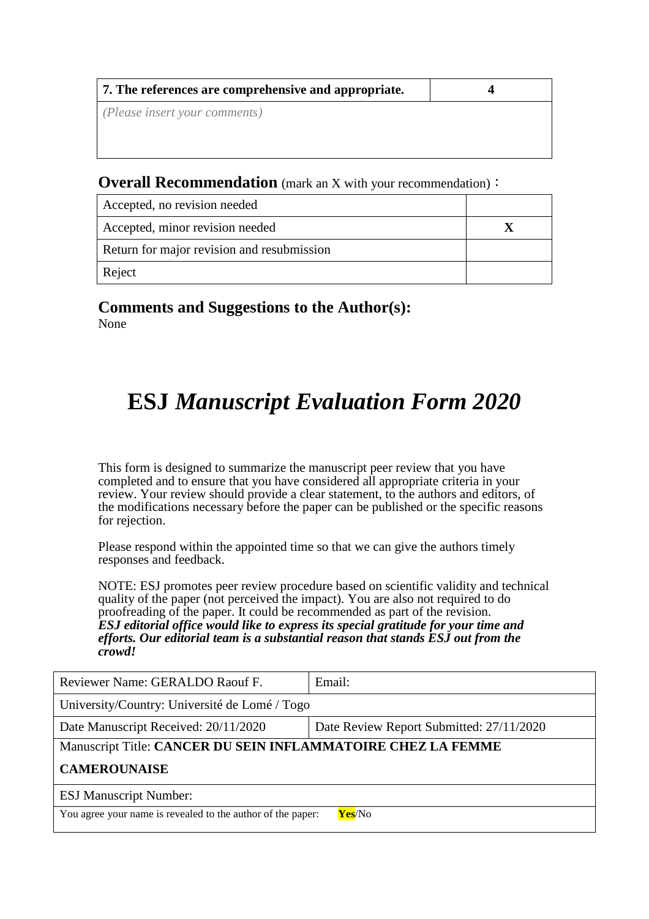| 7. The references are comprehensive and appropriate. |  |
|------------------------------------------------------|--|
| ( <i>Please insert your comments</i> )               |  |
|                                                      |  |
|                                                      |  |

#### **Overall Recommendation** (mark an X with your recommendation):

| Accepted, no revision needed               |  |
|--------------------------------------------|--|
| Accepted, minor revision needed            |  |
| Return for major revision and resubmission |  |
| Reject                                     |  |

**Comments and Suggestions to the Author(s):** None

# **ESJ** *Manuscript Evaluation Form 2020*

This form is designed to summarize the manuscript peer review that you have completed and to ensure that you have considered all appropriate criteria in your review. Your review should provide a clear statement, to the authors and editors, of the modifications necessary before the paper can be published or the specific reasons for rejection.

Please respond within the appointed time so that we can give the authors timely responses and feedback.

NOTE: ESJ promotes peer review procedure based on scientific validity and technical quality of the paper (not perceived the impact). You are also not required to do proofreading of the paper. It could be recommended as part of the revision. *ESJ editorial office would like to express its special gratitude for your time and efforts. Our editorial team is a substantial reason that stands ESJ out from the crowd!* 

| Reviewer Name: GERALDO Raouf F.                              | Email:                                   |  |
|--------------------------------------------------------------|------------------------------------------|--|
| University/Country: Université de Lomé / Togo                |                                          |  |
| Date Manuscript Received: 20/11/2020                         | Date Review Report Submitted: 27/11/2020 |  |
| Manuscript Title: CANCER DU SEIN INFLAMMATOIRE CHEZ LA FEMME |                                          |  |
| <b>CAMEROUNAISE</b>                                          |                                          |  |
| <b>ESJ Manuscript Number:</b>                                |                                          |  |
| You agree your name is revealed to the author of the paper:  | Yes/No                                   |  |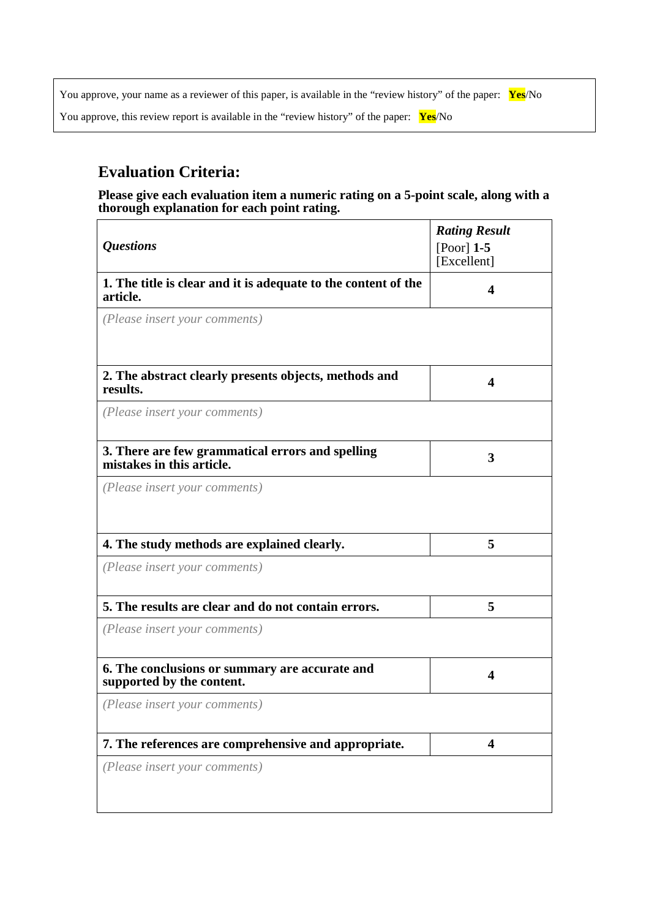You approve, your name as a reviewer of this paper, is available in the "review history" of the paper: **Yes**/No

You approve, this review report is available in the "review history" of the paper: **Yes**/No

## **Evaluation Criteria:**

**Please give each evaluation item a numeric rating on a 5-point scale, along with a thorough explanation for each point rating.**

| <i><b>Questions</b></i>                                                       | <b>Rating Result</b><br>$[Poor]$ 1-5<br>[Excellent] |
|-------------------------------------------------------------------------------|-----------------------------------------------------|
| 1. The title is clear and it is adequate to the content of the<br>article.    | 4                                                   |
| (Please insert your comments)                                                 |                                                     |
| 2. The abstract clearly presents objects, methods and<br>results.             | 4                                                   |
| (Please insert your comments)                                                 |                                                     |
| 3. There are few grammatical errors and spelling<br>mistakes in this article. | 3                                                   |
| (Please insert your comments)                                                 |                                                     |
| 4. The study methods are explained clearly.                                   | 5                                                   |
| (Please insert your comments)                                                 |                                                     |
| 5. The results are clear and do not contain errors.                           | 5                                                   |
| (Please insert your comments)                                                 |                                                     |
| 6. The conclusions or summary are accurate and<br>supported by the content.   | 4                                                   |
| (Please insert your comments)                                                 |                                                     |
| 7. The references are comprehensive and appropriate.                          | $\overline{\mathbf{4}}$                             |
| (Please insert your comments)                                                 |                                                     |